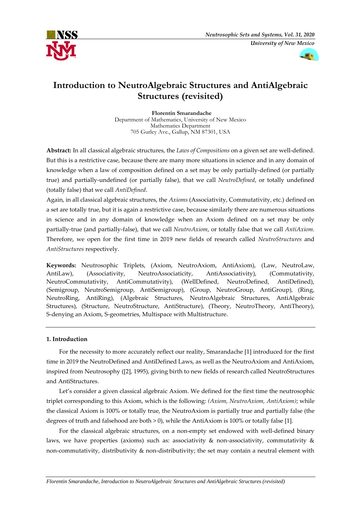



# **Introduction to NeutroAlgebraic Structures and AntiAlgebraic Structures (revisited)**

**Florentin Smarandache** Department of Mathematics, University of New Mexico Mathematics Department 705 Gurley Ave., Gallup, NM 87301, USA

**Abstract:** In all classical algebraic structures, the *Laws of Compositions* on a given set are well-defined. But this is a restrictive case, because there are many more situations in science and in any domain of knowledge when a law of composition defined on a set may be only partially-defined (or partially true) and partially-undefined (or partially false), that we call *NeutroDefined*, or totally undefined (totally false) that we call *AntiDefined*.

Again, in all classical algebraic structures, the *Axioms* (Associativity, Commutativity, etc.) defined on a set are totally true, but it is again a restrictive case, because similarly there are numerous situations in science and in any domain of knowledge when an Axiom defined on a set may be only partially-true (and partially-false), that we call *NeutroAxiom*, or totally false that we call *AntiAxiom*. Therefore, we open for the first time in 2019 new fields of research called *NeutroStructures* and *AntiStructures* respectively.

**Keywords:** Neutrosophic Triplets, (Axiom, NeutroAxiom, AntiAxiom), (Law, NeutroLaw, AntiLaw), (Associativity, NeutroAssociaticity, AntiAssociativity), (Commutativity, NeutroCommutativity, AntiCommutativity), (WellDefined, NeutroDefined, AntiDefined), (Semigroup, NeutroSemigroup, AntiSemigroup), (Group, NeutroGroup, AntiGroup), (Ring, NeutroRing, AntiRing), (Algebraic Structures, NeutroAlgebraic Structures, AntiAlgebraic Structures), (Structure, NeutroStructure, AntiStructure), (Theory, NeutroTheory, AntiTheory), S-denying an Axiom, S-geometries, Multispace with Multistructure.

# **1. Introduction**

For the necessity to more accurately reflect our reality, Smarandache [1] introduced for the first time in 2019 the NeutroDefined and AntiDefined Laws, as well as the NeutroAxiom and AntiAxiom, inspired from Neutrosophy ([2], 1995), giving birth to new fields of research called NeutroStructures and AntiStructures.

Let's consider a given classical algebraic Axiom. We defined for the first time the neutrosophic triplet corresponding to this Axiom, which is the following: *(Axiom, NeutroAxiom, AntiAxiom)*; while the classical Axiom is 100% or totally true, the NeutroAxiom is partially true and partially false (the degrees of truth and falsehood are both  $> 0$ ), while the AntiAxiom is 100% or totally false [1].

For the classical algebraic structures, on a non-empty set endowed with well-defined binary laws, we have properties (axioms) such as: associativity  $\&$  non-associativity, commutativity  $\&$ non-commutativity, distributivity & non-distributivity; the set may contain a neutral element with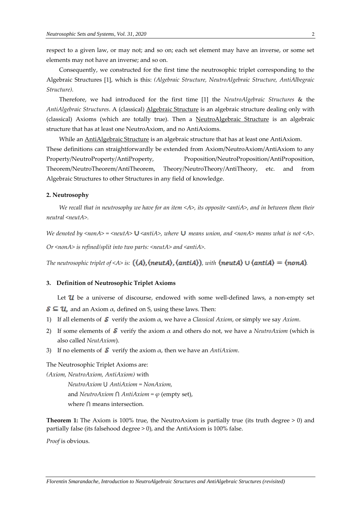respect to a given law, or may not; and so on; each set element may have an inverse, or some set elements may not have an inverse; and so on.

Consequently, we constructed for the first time the neutrosophic triplet corresponding to the Algebraic Structures [1], which is this: *(Algebraic Structure, NeutroAlgebraic Structure, AntiAlbegraic Structure).*

Therefore, we had introduced for the first time [1] the *NeutroAlgebraic Structures* & the *AntiAlgebraic Structures*. A (classical) Algebraic Structure is an algebraic structure dealing only with (classical) Axioms (which are totally true). Then a NeutroAlgebraic Structure is an algebraic structure that has at least one NeutroAxiom, and no AntiAxioms.

While an **AntiAlgebraic Structure** is an algebraic structure that has at least one AntiAxiom. These definitions can straightforwardly be extended from Axiom/NeutroAxiom/AntiAxiom to any Property/NeutroProperty/AntiProperty, Proposition/NeutroProposition/AntiProposition, Theorem/NeutroTheorem/AntiTheorem, Theory/NeutroTheory/AntiTheory, etc. and from Algebraic Structures to other Structures in any field of knowledge.

# **2. Neutrosophy**

*We recall that in neutrosophy we have for an item <A>, its opposite <antiA>, and in between them their neutral <neutA>.*

*We denoted by*  $\langle$ *nonA> =*  $\langle$ *neutA>* **U**  $\langle$ antiA>, where **U** means union, and  $\langle$ nonA> means what is not  $\langle$ A>.

*Or <nonA> is refined/split into two parts: <neutA> and <antiA>.*

*The neutrosophic triplet of <A> is:*  $((A)$ ,  $(ncutA)$ ,  $(antiA))$ , with  $(ncutA) \cup (antiA) = (nonA)$ .

#### **3. Definition of Neutrosophic Triplet Axioms**

Let  $\mathcal U$  be a universe of discourse, endowed with some well-defined laws, a non-empty set

 $\mathcal{S} \subseteq \mathcal{U}$ , and an Axiom  $\alpha$ , defined on S, using these laws. Then:

- 1) If all elements of  $\delta$  verify the axiom  $\alpha$ , we have a *Classical Axiom*, or simply we say *Axiom*.
- 2) If some elements of  $\mathcal S$  verify the axiom  $\alpha$  and others do not, we have a *NeutroAxiom* (which is also called *NeutAxiom*).
- 3) If no elements of  $\mathcal S$  verify the axiom  $\alpha$ , then we have an *AntiAxiom*.

The Neutrosophic Triplet Axioms are:

*(Axiom, NeutroAxiom, AntiAxiom)* with

*NeutroAxiom* ⋃ *AntiAxiom = NonAxiom,*  and *NeutroAxiom*  $\cap$  *AntiAxiom* =  $\varphi$  (empty set), where ⋂ means intersection*.*

**Theorem 1:** The Axiom is 100% true, the NeutroAxiom is partially true (its truth degree > 0) and partially false (its falsehood degree > 0), and the AntiAxiom is 100% false.

*Proof* is obvious.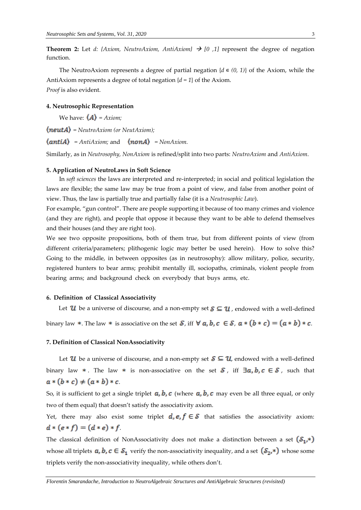**Theorem 2:** Let *d: {Axiom, NeutroAxiom, AntiAxiom}*  $\rightarrow$  [0,1] represent the degree of negation function.

The NeutroAxiom represents a degree of partial negation  ${d \in (0, 1)}$  of the Axiom, while the AntiAxiom represents a degree of total negation {*d = 1*} of the Axiom. *Proof* is also evident.

# **4. Neutrosophic Representation**

We have:  $\langle A \rangle$  = Axiom;

*= NeutroAxiom (or NeutAxiom);*

 $\langle$ anti $A \rangle$  = AntiAxiom; and  $\langle$ **nonA** $\rangle$  = NonAxiom.

Similarly, as in *Neutrosophy, NonAxiom* is refined/split into two parts: *NeutroAxiom* and *AntiAxiom*.

#### **5. Application of NeutroLaws in Soft Science**

In *soft sciences* the laws are interpreted and re-interpreted; in social and political legislation the laws are flexible; the same law may be true from a point of view, and false from another point of view. Thus, the law is partially true and partially false (it is a *Neutrosophic Law*).

For example, "gun control". There are people supporting it because of too many crimes and violence (and they are right), and people that oppose it because they want to be able to defend themselves and their houses (and they are right too).

We see two opposite propositions, both of them true, but from different points of view (from different criteria/parameters; plithogenic logic may better be used herein). How to solve this? Going to the middle, in between opposites (as in neutrosophy): allow military, police, security, registered hunters to bear arms; prohibit mentally ill, sociopaths, criminals, violent people from bearing arms; and background check on everybody that buys arms, etc.

## **6. Definition of Classical Associativity**

Let  $\mathcal U$  be a universe of discourse, and a non-empty set  $\mathcal S \subseteq \mathcal U$ , endowed with a well-defined binary law \*. The law \* is associative on the set  $S$ , iff  $\forall a, b, c \in S$ ,  $a * (b * c) = (a * b) * c$ .

## **7. Definition of Classical NonAssociativity**

Let  $\mathcal U$  be a universe of discourse, and a non-empty set  $\mathcal S \subseteq \mathcal U$ , endowed with a well-defined binary law  $*$ . The law  $*$  is non-associative on the set  $S$ , iff  $\exists a, b, c \in S$ , such that  $a * (b * c) \neq (a * b) * c$ 

So, it is sufficient to get a single triplet  $a, b, c$  (where  $a, b, c$  may even be all three equal, or only two of them equal) that doesn't satisfy the associativity axiom.

Yet, there may also exist some triplet  $d, e, f \in S$  that satisfies the associativity axiom:  $d * (e * f) = (d * e) * f$ 

The classical definition of NonAssociativity does not make a distinction between a set  $(S_1,*)$ whose all triplets  $a, b, c \in S_1$  verify the non-associativity inequality, and a set  $(S_2, *)$  whose some triplets verify the non-associativity inequality, while others don't.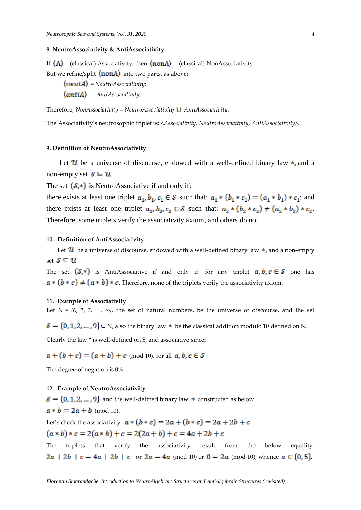#### **8. NeutroAssociativity & AntiAssociativity**

If  $\langle A \rangle$  = (classical) Associativity, then  $\langle \text{non} A \rangle$  = (classical) NonAssociativity.

But we refine/split  $\langle \text{nonA} \rangle$  into two parts, as above:

*= NeutroAssociativity;*

*= AntiAssociativity.*

Therefore, *NonAssociativity = NeutroAssociativity AntiAssociativity*.

The Associativity's neutrosophic triplet is: *<Associativity, NeutroAssociativity, AntiAssociativity>.*

#### **9. Definition of NeutroAssociativity**

Let  $\mathcal{U}$  be a universe of discourse, endowed with a well-defined binary law  $\ast$ , and a non-empty set  $S \subseteq U$ .

The set  $(S,*)$  is NeutroAssociative if and only if:

there exists at least one triplet  $a_1, b_1, c_1 \in S$  such that:  $a_1 * (b_1 * c_1) = (a_1 * b_1) * c_1$ ; and there exists at least one triplet  $a_2, b_2, c_2 \in S$  such that:  $a_2 * (b_2 * c_2) \neq (a_2 * b_2) * c_2$ . Therefore, some triplets verify the associativity axiom, and others do not.

#### **10. Definition of AntiAssociativity**

Let  $\mathcal U$  be a universe of discourse, endowed with a well-defined binary law  $\ast$ , and a non-empty set  $S \subseteq U$ 

The set  $(S,*)$  is AntiAssociative if and only if: for any triplet  $a, b, c \in S$  one has  $a * (b * c) \neq (a * b) * c$ . Therefore, none of the triplets verify the associativity axiom.

# **11. Example of Associativity**

Let  $N = \{0, 1, 2, ..., \infty\}$ , the set of natural numbers, be the universe of discourse, and the set

 $S = \{0, 1, 2, ..., 9\}$   $\subset$  N, also the binary law  $*$  be the classical addition modulo 10 defined on N.

Clearly the law \* is well-defined on S, and associative since:

 $a+(b+c)=(a+b)+c \pmod{10}$ , for all  $a, b, c \in S$ .

The degree of negation is 0%.

# **12. Example of NeutroAssociativity**

 $S = \{0, 1, 2, ..., 9\}$ , and the well-defined binary law  $*$  constructed as below:  $a * b = 2a + b \pmod{10}$ .

Let's check the associativity:  $a * (b * c) = 2a + (b * c) = 2a + 2b + c$  $(a * b) * c = 2(a * b) + c = 2(2a + b) + c = 4a + 2b + c$ 

The triplets that verify the associativity result from the below equality:  $2a + 2b + c = 4a + 2b + c$  or  $2a = 4a \pmod{10}$  or  $0 = 2a \pmod{10}$ , whence  $a \in \{0, 5\}$ .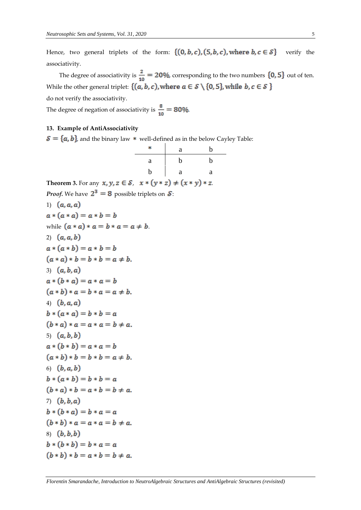Hence, two general triplets of the form:  $\{(0, b, c), (5, b, c),$  where  $b, c \in S\}$  verify the associativity.

The degree of associativity is  $\frac{2}{10} = 20\%$ , corresponding to the two numbers  $\{0, 5\}$  out of ten. While the other general triplet:  $\{(a, b, c)$ , where  $a \in S \setminus \{0, 5\}$ , while  $b, c \in S$  }

b<sub>b</sub>

, *.*

do not verify the associativity.

The degree of negation of associativity is  $\frac{8}{10} = 80\%$ .

# **13. Example of AntiAssociativity**

 $S = \{a, b\}$ , and the binary law \* well-defined as in the below Cayley Table:

|                                                                              |   | а | b           |
|------------------------------------------------------------------------------|---|---|-------------|
|                                                                              | a | b | $\mathbf b$ |
|                                                                              | b | a | a           |
| <b>Theorem 3.</b> For any $x, y, z \in S$ , $x * (y * z) \neq (x * y) * z$ . |   |   |             |
| <b>Proof.</b> We have $2^3 = 8$ possible triplets on $\mathcal{S}$ .         |   |   |             |
| 1) $(a, a, a)$                                                               |   |   |             |
| $a * (a * a) = a * b = b$                                                    |   |   |             |
| while $(a * a) * a = b * a = a \neq b$ .                                     |   |   |             |
| 2) $(a, a, b)$                                                               |   |   |             |
| $a * (a * b) = a * b = b$                                                    |   |   |             |
| $(a * a) * b = b * b = a \neq b.$                                            |   |   |             |
| 3) $(a, b, a)$                                                               |   |   |             |
| $a * (b * a) = a * a = b$                                                    |   |   |             |
| $(a * b) * a = b * a = a \neq b.$                                            |   |   |             |
| 4) $(b, a, a)$                                                               |   |   |             |
| $b * (a * a) = b * b = a$                                                    |   |   |             |
| $(b * a) * a = a * a = b \neq a.$                                            |   |   |             |
| 5) $(a, b, b)$                                                               |   |   |             |
| $a * (b * b) = a * a = b$                                                    |   |   |             |
| $(a * b) * b = b * b = a \neq b.$                                            |   |   |             |
| 6) $(b, a, b)$                                                               |   |   |             |
| $b * (a * b) = b * b = a$                                                    |   |   |             |
| $(b * a) * b = a * b = b \neq a.$                                            |   |   |             |
| 7) $(b, b, a)$                                                               |   |   |             |
| $b * (b * a) = b * a = a$                                                    |   |   |             |
| $(b * b) * a = a * a = b \neq a.$                                            |   |   |             |
| $8)$ $(b, b, b)$                                                             |   |   |             |
| $b * (b * b) = b * a = a$                                                    |   |   |             |
| $(b * b) * b = a * b = b \neq a.$                                            |   |   |             |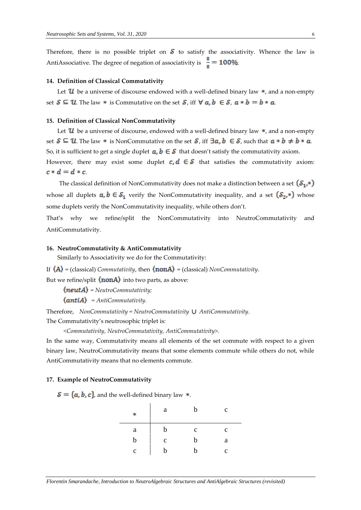Therefore, there is no possible triplet on  $S$  to satisfy the associativity. Whence the law is AntiAssociative. The degree of negation of associativity is  $\frac{8}{8} = 100\%$ .

#### **14. Definition of Classical Commutativity**

Let  $\mathcal U$  be a universe of discourse endowed with a well-defined binary law  $\ast$ , and a non-empty set  $S \subseteq U$ . The law \* is Commutative on the set S, iff  $\forall a, b \in S$ ,  $a * b = b * a$ .

## **15. Definition of Classical NonCommutativity**

Let  $\mathcal U$  be a universe of discourse, endowed with a well-defined binary law  $\ast$ , and a non-empty set  $S \subseteq U$ . The law \* is NonCommutative on the set S, iff  $\exists a, b \in S$ , such that  $a * b \neq b * a$ . So, it is sufficient to get a single duplet  $a, b \in S$  that doesn't satisfy the commutativity axiom. However, there may exist some duplet  $c, d \in S$  that satisfies the commutativity axiom:  $c * d = d * c$ 

The classical definition of NonCommutativity does not make a distinction between a set  $(S_1,*)$ whose all duplets  $a, b \in S_1$  verify the NonCommutativity inequality, and a set  $(S_2, *)$  whose some duplets verify the NonCommutativity inequality, while others don't.

That's why we refine/split the NonCommutativity into NeutroCommutativity and AntiCommutativity.

# **16. NeutroCommutativity & AntiCommutativity**

Similarly to Associativity we do for the Commutativity:

If  $\langle A \rangle$  = (classical) *Commutativity*, then  $\langle \text{non} A \rangle$  = (classical) *NonCommutativity*.

But we refine/split  $\langle \text{nonA} \rangle$  into two parts, as above:

*= NeutroCommutativity;*

 *= AntiCommutativity.*

Therefore, *NonCommutativity = NeutroCommutativity AntiCommutativity*.

The Commutativity's neutrosophic triplet is:

*<Commutativity, NeutroCommutativity, AntiCommutativity>.*

In the same way, Commutativity means all elements of the set commute with respect to a given binary law, NeutroCommutativity means that some elements commute while others do not, while AntiCommutativity means that no elements commute.

#### **17. Example of NeutroCommutativity**

 $S = \{a, b, c\}$ , and the well-defined binary law \*.

| ×.          | a           | h            | $\mathbf c$ |
|-------------|-------------|--------------|-------------|
| a           |             | $\mathbf{C}$ | $\mathbf c$ |
| b           | $\mathbf c$ | b            | a           |
| $\mathbf c$ |             | h            | C           |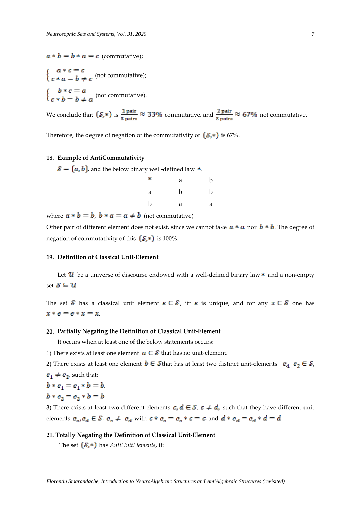$a * b = b * a = c$  (commutative);

$$
\begin{cases}\n a * c = c \\
c * a = b \neq c \text{ (not commutative)};\n\end{cases}
$$
\n
$$
\begin{cases}\n b * c = a \\
c * b = b \neq a \text{ (not commutative)}.\n\end{cases}
$$

We conclude that  $(\mathcal{S}, *)$  is  $\frac{1 \text{ pair}}{3 \text{ pairs}} \approx 33\%$  commutative, and  $\frac{2 \text{ pair}}{3 \text{ pairs}} \approx 67\%$  not commutative.

Therefore, the degree of negation of the commutativity of  $(S,*)$  is 67%.

# **18. Example of AntiCommutativity**

 $S = \{a, b\}$ , and the below binary well-defined law  $*$ .

|   | a | h |
|---|---|---|
| a | b | b |
| b | a | a |

where  $a * b = b$ ,  $b * a = a \neq b$  (not commutative)

Other pair of different element does not exist, since we cannot take  $a * a$  nor  $b * b$ . The degree of negation of commutativity of this  $(S, *)$  is 100%.

# **19. Definition of Classical Unit-Element**

Let  $u$  be a universe of discourse endowed with a well-defined binary law  $*$  and a non-empty set  $S \subseteq U$ .

The set S has a classical unit element  $e \in S$ , iff  $e$  is unique, and for any  $x \in S$  one has  $x * e = e * x = x$ .

## **20. Partially Negating the Definition of Classical Unit-Element**

It occurs when at least one of the below statements occurs:

- 1) There exists at least one element  $a \in S$  that has no unit-element.
- 2) There exists at least one element  $\mathbf{b} \in \mathcal{S}$  that has at least two distinct unit-elements  $\mathbf{e}_1 \ \mathbf{e}_2 \in \mathcal{S}$ ,

$$
e_1 \neq e_2
$$
, such that:

$$
b * e_1 = e_1 * b = b,
$$
  

$$
b * e_2 = e_2 * b = b.
$$

3) There exists at least two different elements  $c, d \in S$ ,  $c \neq d$ , such that they have different unitelements  $e_c, e_d \in S$ ,  $e_c \neq e_d$  with  $c * e_c = e_c * c = c$ , and  $d * e_d = e_d * d = d$ .

## **21. Totally Negating the Definition of Classical Unit-Element**

The set  $(S,*)$  has *AntiUnitElements*, if: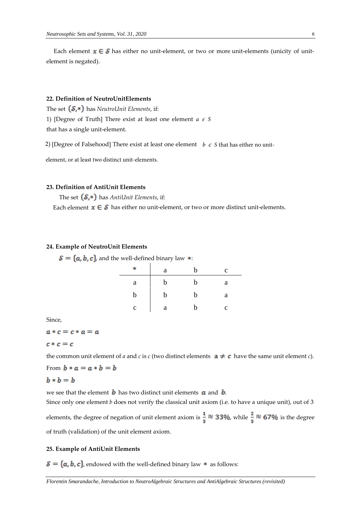Each element  $x \in \mathcal{S}$  has either no unit-element, or two or more unit-elements (unicity of unitelement is negated).

# **22. Definition of NeutroUnitElements**

The set  $(S,*)$  has *NeutroUnit Elements*, if: 1) [Degree of Truth] There exist at least one element  $a \in S$ that has a single unit-element.

2) [Degree of Falsehood] There exist at least one element *b* ∊ *S* that has either no unit-

element, or at least two distinct unit-elements.

## **23. Definition of AntiUnit Elements**

The set  $(S,*)$  has *AntiUnit Elements*, if:

Each element  $x \in S$  has either no unit-element, or two or more distinct unit-elements.

# **24. Example of NeutroUnit Elements**

 $S = \{a, b, c\}$ , and the well-defined binary law \*:

| ×.          | a | h | C            |
|-------------|---|---|--------------|
| a           | b | h | a            |
| b           | b | b | a            |
| $\mathbf c$ | a | h | $\mathbf{C}$ |

Since,

 $a * c = c * a = a$ 

# $c * c = c$

the common unit element of *a* and *c* is *c* (two distinct elements  $\mathbf{a} \neq \mathbf{c}$  have the same unit element *c*).

From  $b * a = a * b = b$ 

$$
b * b = b
$$

we see that the element  $\boldsymbol{b}$  has two distinct unit elements  $\boldsymbol{a}$  and  $\boldsymbol{b}$ .

Since only one element *b* does not verify the classical unit axiom (i.e. to have a unique unit), out of 3

elements, the degree of negation of unit element axiom is  $\frac{1}{3} \approx 33\%$ , while  $\frac{2}{3} \approx 67\%$  is the degree of truth (validation) of the unit element axiom.

# **25. Example of AntiUnit Elements**

 $S = \{a, b, c\}$ , endowed with the well-defined binary law  $*$  as follows: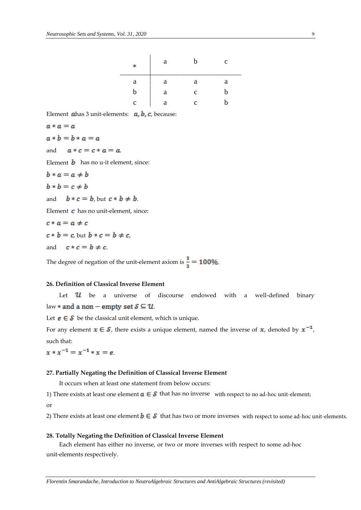| 宋           | a | h           | $\mathbf c$ |
|-------------|---|-------------|-------------|
| a           | a | a           | a           |
| b           | a | $\mathbf c$ | h           |
| $\mathbf c$ | а | $\mathbf c$ | h           |

Element  $a$ has 3 unit-elements:  $a, b, c$ , because:

$$
a*a=a
$$

 $a * b = b * a = a$ 

and  $a * c = c * a = a$ 

Element **b** has no u-it element, since:

 $b * a = a \neq b$  $h * h = c \pm h$ 

$$
v * v - c + v
$$

and  $b * c = b$ , but  $c * b \neq b$ .

Element  $\boldsymbol{c}$  has no unit-element, since:

$$
c * a = a \neq c
$$
  

$$
c * b = c
$$
, but 
$$
b * c = b \neq c
$$
,  
and 
$$
c * c = b \neq c
$$
.

The degree of negation of the unit-element axiom is  $\frac{3}{3} = 100\%$ .

# **26. Definition of Classical Inverse Element**

Let  $\mathcal{U}$  be a universe of discourse endowed with a well-defined binary law  $*$  and a non – empty set  $S \subseteq U$ .

Let  $e \in S$  be the classical unit element, which is unique.

For any element  $x \in S$ , there exists a unique element, named the inverse of x, denoted by  $x^{-1}$ , such that:

 $x * x^{-1} = x^{-1} * x = e$ .

# **27. Partially Negating the Definition of Classical Inverse Element**

It occurs when at least one statement from below occurs:

1) There exists at least one element  $a \in \mathcal{S}$  that has no inverse with respect to no ad-hoc unit-element;

or

2) There exists at least one element  $b\in\mathcal{S}$  that has two or more inverses  $\,$  with respect to some ad-hoc unit-elements.

# **28. Totally Negating the Definition of Classical Inverse Element**

Each element has either no inverse, or two or more inverses with respect to some ad-hoc unit-elements respectively.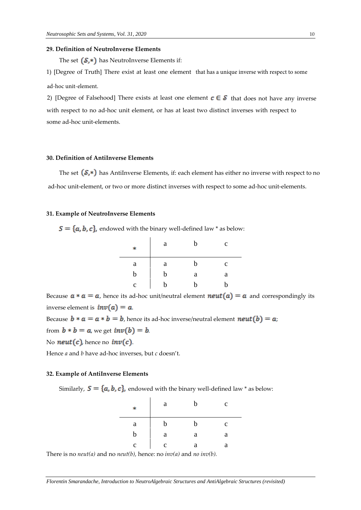#### **29. Definition of NeutroInverse Elements**

The set  $(S,*)$  has NeutroInverse Elements if:

1) [Degree of Truth] There exist at least one element that has a unique inverse with respect to some ad-hoc unit-element.

2) [Degree of Falsehood] There exists at least one element  $c \in S$  that does not have any inverse with respect to no ad-hoc unit element, or has at least two distinct inverses with respect to some ad-hoc unit-elements.

# **30. Definition of AntiInverse Elements**

The set  $(S,*)$  has AntiInverse Elements, if: each element has either no inverse with respect to no ad-hoc unit-element, or two or more distinct inverses with respect to some ad-hoc unit-elements.

## **31. Example of NeutroInverse Elements**

 $S = \{a, b, c\}$ , endowed with the binary well-defined law \* as below:

| ∗            | a | b | $\mathbf c$ |
|--------------|---|---|-------------|
| $\mathbf{a}$ | a | b | $\mathbf c$ |
| b            | b | a | a           |
| c            | b | h | h           |

Because  $a * a = a$ , hence its ad-hoc unit/neutral element  $neut(a) = a$  and correspondingly its inverse element is  $inv(a) = a$ .

Because  $b * a = a * b = b$ , hence its ad-hoc inverse/neutral element  $neut(b) = a$ ;

from  $b * b = a$ , we get  $inv(b) = b$ .

No **neut**  $(c)$ , hence no **inv** $(c)$ .

Hence *a* and *b* have ad-hoc inverses, but *c* doesn't.

# **32. Example of AntiInverse Elements**

Similarly,  $S = \{a, b, c\}$ , endowed with the binary well-defined law \* as below:

| ×. | a           | b | $\mathbf c$ |
|----|-------------|---|-------------|
| a  | b           | b | $\mathbf c$ |
| b  | a           | a | a           |
| c  | $\mathbf c$ | а | a           |

There is no *neut(a)* and no *neut(b),* hence: no *inv(a)* and *no inv(b).*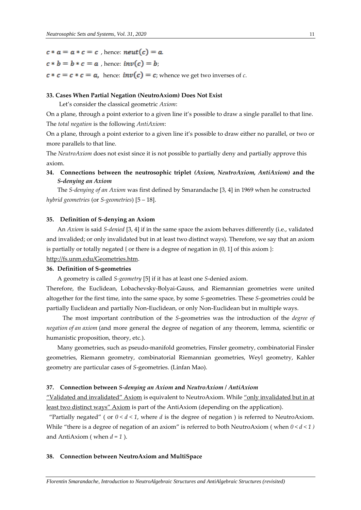$c * a = a * c = c$ , hence:  $neut(c) = a$ .

$$
c * b = b * c = a
$$
, hence  $inv(c) = b$ ;

 $c * c = c * c = a$ , hence:  $inv(c) = c$ ; whence we get two inverses of *c*.

# **33. Cases When Partial Negation (NeutroAxiom) Does Not Exist**

Let's consider the classical geometric *Axiom*:

On a plane, through a point exterior to a given line it's possible to draw a single parallel to that line. The *total negation* is the following *AntiAxiom*:

On a plane, through a point exterior to a given line it's possible to draw either no parallel, or two or more parallels to that line.

The *NeutroAxiom* does not exist since it is not possible to partially deny and partially approve this axiom.

# **34. Connections between the neutrosophic triplet** *(Axiom, NeutroAxiom, AntiAxiom)* **and the** *S-denying an Axiom*

The *S-denying of an Axiom* was first defined by Smarandache [3, 4] in 1969 when he constructed *hybrid geometries* (or *S-geometries*) [5 – 18].

#### **35. Definition of S-denying an Axiom**

An *Axiom* is said *S-denied* [3, 4] if in the same space the axiom behaves differently (i.e., validated and invalided; or only invalidated but in at least two distinct ways). Therefore, we say that an axiom is partially or totally negated { or there is a degree of negation in  $(0, 1]$  of this axiom }: http://fs.unm.edu/Geometries.htm.

#### **36. Definition of S-geometries**

A geometry is called *S-geometry* [5] if it has at least one *S*-denied axiom.

Therefore, the Euclidean, Lobachevsky-Bolyai-Gauss, and Riemannian geometries were united altogether for the first time, into the same space, by some *S*-geometries. These *S*-geometries could be partially Euclidean and partially Non-Euclidean, or only Non-Euclidean but in multiple ways.

The most important contribution of the *S*-geometries was the introduction of the *degree of negation of an axiom* (and more general the degree of negation of any theorem, lemma, scientific or humanistic proposition, theory, etc.).

Many geometries, such as pseudo-manifold geometries, Finsler geometry, combinatorial Finsler geometries, Riemann geometry, combinatorial Riemannian geometries, Weyl geometry, Kahler geometry are particular cases of *S*-geometries. (Linfan Mao).

# **37. Connection between** *S-denying an Axiom* **and** *NeutroAxiom* **/** *AntiAxiom*

"Validated and invalidated" Axiom is equivalent to NeutroAxiom. While "only invalidated but in at least two distinct ways" Axiom is part of the AntiAxiom (depending on the application).

"Partially negated" ( or  $0 < d < 1$ , where *d* is the degree of negation ) is referred to NeutroAxiom. While "there is a degree of negation of an axiom" is referred to both NeutroAxiom ( when *0 < d < 1 )*  and AntiAxiom ( when *d = 1* ).

#### **38. Connection between NeutroAxiom and MultiSpace**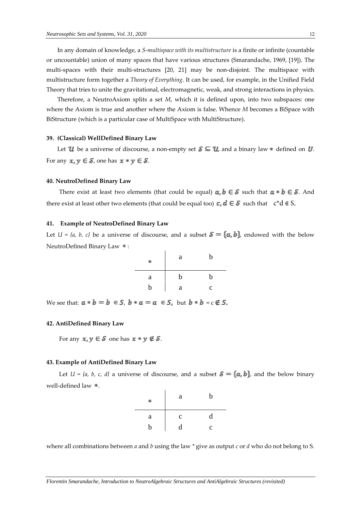In any domain of knowledge, a *S-multispace with its multistructure* is a finite or infinite (countable or uncountable) union of many spaces that have various structures (Smarandache, 1969, [19]). The multi-spaces with their multi-structures [20, 21] may be non-disjoint. The multispace with multistructure form together a *Theory of Everything*. It can be used, for example, in the Unified Field Theory that tries to unite the gravitational, electromagnetic, weak, and strong interactions in physics.

Therefore, a NeutroAxiom splits a set *M*, which it is defined upon, into two subspaces: one where the Axiom is true and another where the Axiom is false. Whence *M* becomes a BiSpace with BiStructure (which is a particular case of MultiSpace with MultiStructure).

# **39. (Classical) WellDefined Binary Law**

Let  $\mathcal{U}$  be a universe of discourse, a non-empty set  $\mathcal{S} \subseteq \mathcal{U}$ , and a binary law  $*$  defined on  $U$ . For any  $x, y \in S$ , one has  $x * y \in S$ .

#### **40. NeutroDefined Binary Law**

There exist at least two elements (that could be equal)  $a, b \in S$  such that  $a * b \in S$ . And there exist at least other two elements (that could be equal too)  $c, d \in S$  such that  $c * d \in S$ .

#### **41. Example of NeutroDefined Binary Law**

Let  $U = \{a, b, c\}$  be a universe of discourse, and a subset  $S = \{a, b\}$ , endowed with the below NeutroDefined Binary Law  $*$ :

| ∗ | a | b |
|---|---|---|
| a | b | b |
| b | a | C |

We see that:  $a * b = b \in S$ ,  $b * a = a \in S$ , but  $b * b = c \notin S$ .

# **42. AntiDefined Binary Law**

For any  $x, y \in S$  one has  $x * y \notin S$ .

# **43. Example of AntiDefined Binary Law**

Let  $U = \{a, b, c, d\}$  a universe of discourse, and a subset  $S = \{a, b\}$ , and the below binary well-defined law  $*$ .

| ∗        | a           | b           |
|----------|-------------|-------------|
| $\rm{a}$ | $\mathbf c$ | d           |
| b        | d           | $\mathbf c$ |

where all combinations between *a* and *b* using the law *\** give as output *c* or *d* who do not belong to S.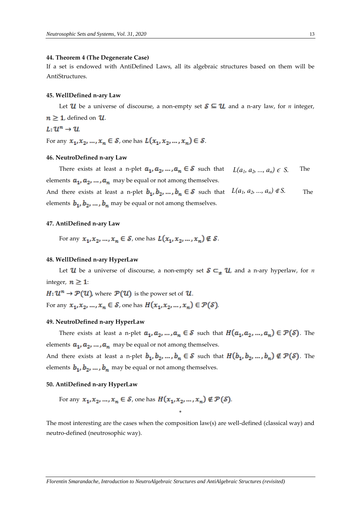## **44. Theorem 4 (The Degenerate Case)**

If a set is endowed with AntiDefined Laws, all its algebraic structures based on them will be AntiStructures.

#### **45. WellDefined n-ary Law**

Let U be a universe of discourse, a non-empty set  $\mathcal{S} \subseteq \mathcal{U}$ , and a n-ary law, for *n* integer,  $n \geq 1$ , defined on  $U$ .  $\frac{1}{2}$  and  $\frac{1}{2}$ 

$$
L\colon\mathcal{U}^n\to\mathcal{U}
$$

For any  $x_1, x_2, ..., x_n \in S$ , one has  $L(x_1, x_2, ..., x_n) \in S$ .

#### **46. NeutroDefined n-ary Law**

There exists at least a n-plet  $a_1, a_2, ..., a_n \in S$  such that  $L(a_1, a_2, ..., a_n) \in S$ . The elements  $a_1, a_2, ..., a_n$  may be equal or not among themselves. And there exists at least a n-plet  $b_1, b_2, ..., b_n \in S$  such that  $L(a_1, a_2, ..., a_n) \notin S$ . The

elements  $b_1, b_2, ..., b_n$  may be equal or not among themselves.

# **47. AntiDefined n-ary Law**

For any  $x_1, x_2, ..., x_n \in S$ , one has  $L(x_1, x_2, ..., x_n) \notin S$ .

#### **48. WellDefined n-ary HyperLaw**

Let  $\mathcal{U}$  be a universe of discourse, a non-empty set  $\mathcal{S} \subset_{\pm} \mathcal{U}$ , and a n-ary hyperlaw, for *n* integer,  $n \geq 1$ :

 $H: \mathcal{U}^n \to \mathcal{P}(\mathcal{U})$ , where  $\mathcal{P}(\mathcal{U})$  is the power set of  $\mathcal{U}$ .

For any  $x_1, x_2, ..., x_n \in \mathcal{S}$ , one has  $H(x_1, x_2, ..., x_n) \in \mathcal{P}(\mathcal{S})$ .

# **49. NeutroDefined n-ary HyperLaw**

There exists at least a n-plet  $a_1, a_2, ..., a_n \in S$  such that  $H(a_1, a_2, ..., a_n) \in \mathcal{P}(S)$ . The elements  $a_1, a_2, ..., a_n$  may be equal or not among themselves.

And there exists at least a n-plet  $b_1, b_2, ..., b_n \in S$  such that  $H(b_1, b_2, ..., b_n) \notin \mathcal{P}(S)$ . The elements  $b_1, b_2, ..., b_n$  may be equal or not among themselves.

# **50. AntiDefined n-ary HyperLaw**

For any 
$$
x_1, x_2, ..., x_n \in \mathcal{S}
$$
, one has  $H(x_1, x_2, ..., x_n) \notin \mathcal{P}(\mathcal{S})$ .

The most interesting are the cases when the composition law(s) are well-defined (classical way) and neutro-defined (neutrosophic way).

\*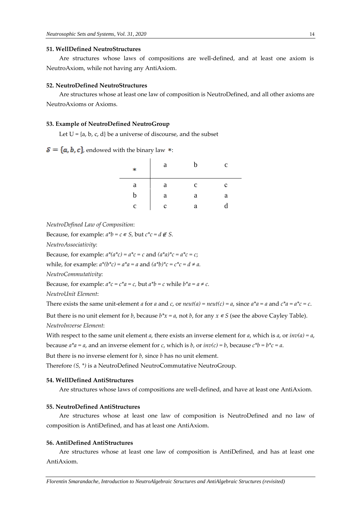## **51. WellDefined NeutroStructures**

Are structures whose laws of compositions are well-defined, and at least one axiom is NeutroAxiom, while not having any AntiAxiom.

## **52. NeutroDefined NeutroStructures**

Are structures whose at least one law of composition is NeutroDefined, and all other axioms are NeutroAxioms or Axioms.

# **53. Example of NeutroDefined NeutroGroup**

Let  $U = \{a, b, c, d\}$  be a universe of discourse, and the subset

 $S = \{a, b, c\}$ , endowed with the binary law \*:

| ∗           | a | b           | $\mathbf c$ |
|-------------|---|-------------|-------------|
| a           | a | $\mathbf c$ | c           |
| b           | a | a           | a           |
| $\mathbf c$ | c | a           |             |

*NeutroDefined Law of Composition*:

Because, for example:  $a^*b = c \in S$ , but  $c^*c = d \notin S$ .

*NeutroAssociativity*:

Because, for example:  $a^*(a^*c) = a^*c = c$  and  $(a^*a)^*c = a^*c = c$ ;

while, for example:  $a^*(b^*c) = a^*a = a$  and  $(a^*b)^*c = c^*c = d \neq a$ .

*NeutroCommutativity*:

Because, for example:  $a^*c = c^*a = c$ , but  $a^*b = c$  while  $b^*a = a \neq c$ .

*NeutroUnit Element*:

There exists the same unit-element *a* for *a* and *c*, or *neut(a)* = *neut(c)* = *a*, since  $a^*a = a$  and  $c^*a = a^*c = c$ .

But there is no unit element for *b*, because  $b^*x = a$ , not *b*, for any  $x \in S$  (see the above Cayley Table). *NeutroInverse Element*:

With respect to the same unit element *a*, there exists an inverse element for *a*, which is *a*, or  $inv(a) = a$ ,

because  $a^*a = a$ , and an inverse element for *c*, which is *b*, or  $inv(c) = b$ , because  $c^*b = b^*c = a$ .

But there is no inverse element for *b,* since *b* has no unit element.

Therefore *(S, \*)* is a NeutroDefined NeutroCommutative NeutroGroup.

# **54. WellDefined AntiStructures**

Are structures whose laws of compositions are well-defined, and have at least one AntiAxiom.

# **55. NeutroDefined AntiStructures**

Are structures whose at least one law of composition is NeutroDefined and no law of composition is AntiDefined, and has at least one AntiAxiom.

# **56. AntiDefined AntiStructures**

Are structures whose at least one law of composition is AntiDefined, and has at least one AntiAxiom.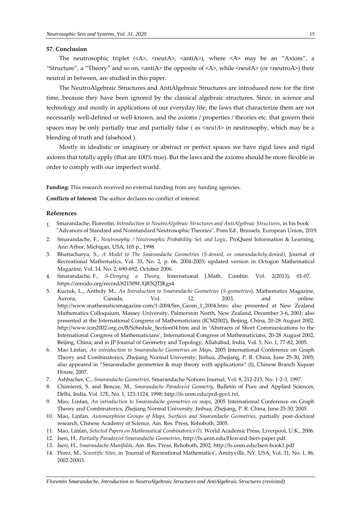#### **57. Conclusion**

The neutrosophic triplet  $(\langle A \rangle, \langle \text{neut} A \rangle, \langle \text{antid} \rangle)$ , where  $\langle A \rangle$  may be an "Axiom", a "Structure", a "Theory" and so on, <antiA> the opposite of <A>, while <neutA> (or <neutroA>) their neutral in between, are studied in this paper.

The NeutroAlgebraic Structures and AntiAlgebraic Structures are introduced now for the first time, because they have been ignored by the classical algebraic structures. Since, in science and technology and mostly in applications of our everyday life, the laws that characterize them are not necessarily well-defined or well-known, and the axioms / properties / theories etc. that govern their spaces may be only partially true and partially false ( as *<neutA>* in neutrosophy, which may be a blending of truth and falsehood ).

Mostly in idealistic or imaginary or abstract or perfect spaces we have rigid laws and rigid axioms that totally apply (that are 100% true). But the laws and the axioms should be more flexible in order to comply with our imperfect world.

**Funding:** This research received no external funding from any funding agencies.

**Conflicts of Interest:** The author declares no conflict of interest.

#### **References**

- 1. Smarandache, Florentin, *Introduction to NeutroAlgebraic Structures and AntiAlgebraic Structures*, in his book "Advances of Standard and Nonstandard Neutrosophic Theories", Pons Ed., Brussels, European Union, 2019.
- 2. Smarandache, F., *Neutrosophy. / Neutrosophic Probability, Set, and Logic*, ProQuest Information & Learning, Ann Arbor, Michigan, USA, 105 p., 1998.
- 3. Bhattacharya, S., *A Model to The Smarandache Geometries (S-denied, or smarandachely-denied)*, Journal of Recreational Mathematics, Vol. 33, No. 2, p. 66, 2004-2005; updated version in Octogon Mathematical Magazine, Vol. 14, No. 2, 690-692, October 2006.
- 4. Smarandache, F., *S-Denying a Theory*, International J.Math. Combin. Vol. 2(2013), 01-07, [https://zenodo.org/record/821509#.XjR5QTJKgs4.](https://zenodo.org/record/821509#.XjR5QTJKgs4)
- 5. Kuciuk, L., Antholy M., *An Introduction to Smarandache Geometries* (*S-geometries*), Mathematics Magazine, Aurora, Canada, Vol. 12, 2003, and online: [http://www.mathematicsmagazine.com/1-2004/Sm\\_Geom\\_1\\_2004.htm;](http://www.mathematicsmagazine.com/1-2004/Sm_Geom_1_2004.htm) also presented at New Zealand Mathematics Colloquium, Massey University, Palmerston North, New Zealand, December 3-6, 2001; also presented at the International Congress of Mathematicians (ICM2002), Beijing, China, 20-28 August 2002, [http://www.icm2002.org.cn/B/Schedule\\_Section04.htm](http://www.icm2002.org.cn/B/Schedule_Section04.htm) and in 'Abstracts of Short Communications to the International Congress of Mathematicians', International Congress of Mathematicians, 20-28 August 2002, Beijing, China; and in JP Journal of Geometry and Topology, Allahabad, India, Vol. 5, No. 1, 77-82, 2005.
- 6. Mao Linfan, *An introduction to Smarandache Geometries on Maps*, 2005 International Conference on Graph Theory and Combinatorics, Zhejiang Normal University, Jinhua, Zhejiang, P. R. China, June 25-30, 2005; also appeared in "Smarandache geometries & map theory with applications" (I), Chinese Branch Xiquan House, 2007.
- 7. Ashbacher, C., *Smarandache Geometries*, Smarandache Notions Journal, Vol. 8, 212-215, No. 1-2-3, 1997.
- 8. Chimienti, S. and Bencze, M., *Smarandache Paradoxist Geometry*, Bulletin of Pure and Applied Sciences, Delhi, India, Vol. 17E, No. 1, 123-1124, 1998; [http://fs.unm.edu/prd-geo1.txt.](http://fs.unm.edu/prd-geo1.txt)
- 9. Mao, Linfan, *An introduction to Smarandache geometries on maps*, 2005 International Conference on Graph Theory and Combinatorics, Zhejiang Normal University, Jinhua, Zhejiang, P. R. China, June 25-30, 2005.
- 10. Mao, Linfan, *Automorphism Groups of Maps, Surfaces and Smarandache Geometries*, partially post-doctoral research, Chinese Academy of Science, Am. Res. Press, Rehoboth, 2005.
- 11. Mao, Linfan, *Selected Papers on Mathematical Combinatorics (I),* World Academic Press, Liverpool, U.K., 2006.
- 12. Iseri, H., *Partially Paradoxist Smarandache Geometries*, [http://fs.unm.edu/Howard-Iseri-paper.pdf.](http://fs.unm.edu/Howard-Iseri-paper.pdf)
- 13. Iseri, H., *Smarandache Manifolds*, Am. Res. Press, Rehoboth, 2002, http://fs.unm.edu/Iseri-book1.pdf
- 14. Perez, M., *Scientific Sites*, in 'Journal of Recreational Mathematics', Amityville, NY, USA, Vol. 31, No. 1, 86, 2002-20003.